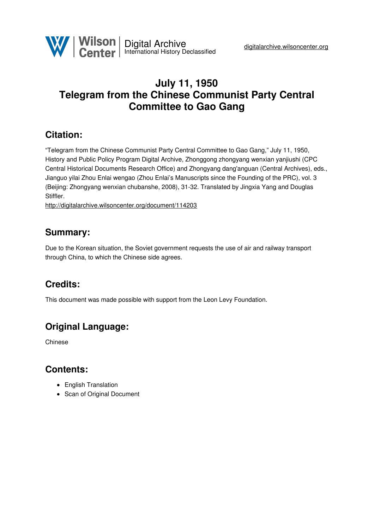

# **July 11, 1950 Telegram from the Chinese Communist Party Central Committee to Gao Gang**

#### **Citation:**

"Telegram from the Chinese Communist Party Central Committee to Gao Gang," July 11, 1950, History and Public Policy Program Digital Archive, Zhonggong zhongyang wenxian yanjiushi (CPC Central Historical Documents Research Office) and Zhongyang dang'anguan (Central Archives), eds., Jianguo yilai Zhou Enlai wengao (Zhou Enlai's Manuscripts since the Founding of the PRC), vol. 3 (Beijing: Zhongyang wenxian chubanshe, 2008), 31-32. Translated by Jingxia Yang and Douglas Stiffler.

<http://digitalarchive.wilsoncenter.org/document/114203>

#### **Summary:**

Due to the Korean situation, the Soviet government requests the use of air and railway transport through China, to which the Chinese side agrees.

## **Credits:**

This document was made possible with support from the Leon Levy Foundation.

## **Original Language:**

Chinese

#### **Contents:**

- English Translation
- Scan of Original Document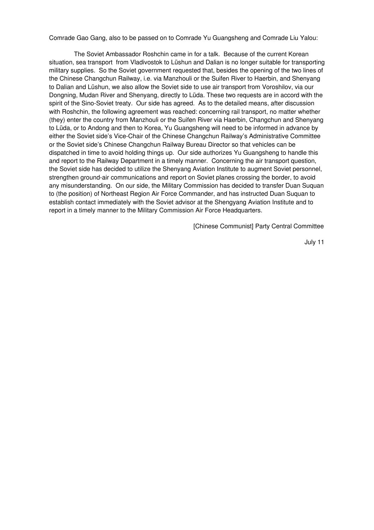Comrade Gao Gang, also to be passed on to Comrade Yu Guangsheng and Comrade Liu Yalou:

The Soviet Ambassador Roshchin came in for a talk. Because of the current Korean situation, sea transport from Vladivostok to Lüshun and Dalian is no longer suitable for transporting military supplies. So the Soviet government requested that, besides the opening of the two lines of the Chinese Changchun Railway, i.e. via Manzhouli or the Suifen River to Haerbin, and Shenyang to Dalian and Lüshun, we also allow the Soviet side to use air transport from Voroshilov, via our Dongning, Mudan River and Shenyang, directly to Lüda. These two requests are in accord with the spirit of the Sino-Soviet treaty. Our side has agreed. As to the detailed means, after discussion with Roshchin, the following agreement was reached: concerning rail transport, no matter whether (they) enter the country from Manzhouli or the Suifen River via Haerbin, Changchun and Shenyang to Lüda, or to Andong and then to Korea, Yu Guangsheng will need to be informed in advance by either the Soviet side's Vice-Chair of the Chinese Changchun Railway's Administrative Committee or the Soviet side's Chinese Changchun Railway Bureau Director so that vehicles can be dispatched in time to avoid holding things up. Our side authorizes Yu Guangsheng to handle this and report to the Railway Department in a timely manner. Concerning the air transport question, the Soviet side has decided to utilize the Shenyang Aviation Institute to augment Soviet personnel, strengthen ground-air communications and report on Soviet planes crossing the border, to avoid any misunderstanding. On our side, the Military Commission has decided to transfer Duan Suquan to (the position) of Northeast Region Air Force Commander, and has instructed Duan Suquan to establish contact immediately with the Soviet advisor at the Shengyang Aviation Institute and to report in a timely manner to the Military Commission Air Force Headquarters.

[Chinese Communist] Party Central Committee

July 11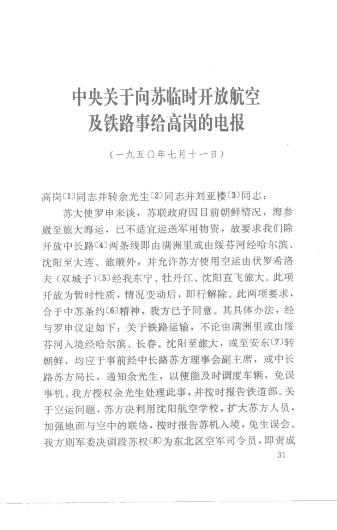# 中央关于向苏临时开放航空 及铁路事给高岗的电报

 $(-h.$  五〇年十月十一日)

高岗(1)同志并转余光生〔2〕同志并刘亚楼〔3〕同志:

苏大伸罗申来谈, 苏联政府因目前朝鲜情况, 海参 崴至旅大海运,已不适宜运送军用物资,故要求我们除 开放中长路〔4〕两条线即由满洲里或由绥芬河经哈尔滨、 沈阳至大连、旅顺外,并允许苏方使用空运由伏罗希洛 夫(双城子)(5)经我东宁、牡丹江、沈阳直飞旅大。此项 开放为暂时性质,情况变动后,即行解除。此两项要求, 合于中苏条约〔6〕精神, 我方已予同意。其具体办法, 经 与罗申议定如下: 关于铁路运输, 不论由满洲里或由绥 芬河入境经哈尔滨、长春、沈阳至旅大, 或至安东〔7〕转 胡鲜,均应于事前经中长路苏方理事会副主席, 或中长 路苏方局长,通知余光生,以便能及时调度车辆,免误 事机。我方授权余光生处理此事,并按时报告铁道部。关 于空运问题, 苏方决利用沈阳航空学校, 扩大苏方人员, 加强地面与空中的联络, 按时报告苏机入境, 免生误会。 我方则军委决调段苏权〔8〕为东北区空军司令员,即责成 31